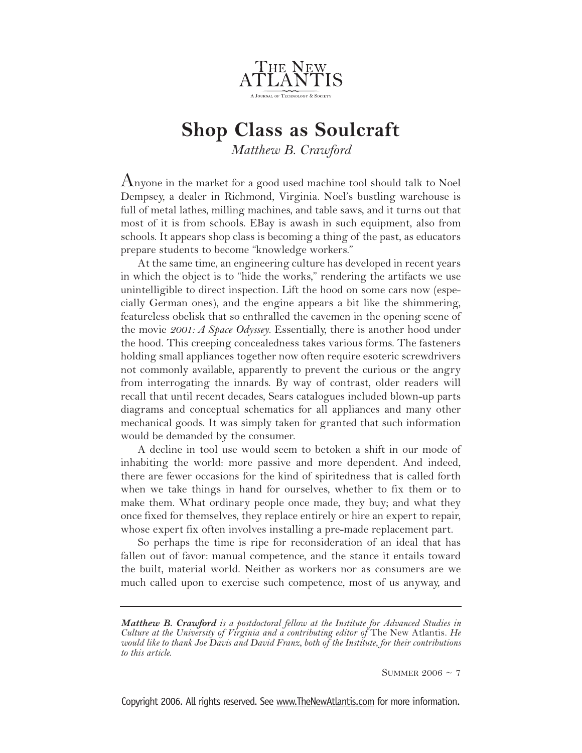

# **Shop Class as Soulcraft** *Matthew B. Crawford*

Anyone in the market for a good used machine tool should talk to Noel Dempsey, a dealer in Richmond, Virginia. Noel's bustling warehouse is full of metal lathes, milling machines, and table saws, and it turns out that most of it is from schools. EBay is awash in such equipment, also from schools. It appears shop class is becoming a thing of the past, as educators prepare students to become "knowledge workers."

At the same time, an engineering culture has developed in recent years in which the object is to "hide the works," rendering the artifacts we use unintelligible to direct inspection. Lift the hood on some cars now (especially German ones), and the engine appears a bit like the shimmering, featureless obelisk that so enthralled the cavemen in the opening scene of the movie *2001: A Space Odyssey*. Essentially, there is another hood under the hood. This creeping concealedness takes various forms. The fasteners holding small appliances together now often require esoteric screwdrivers not commonly available, apparently to prevent the curious or the angry from interrogating the innards. By way of contrast, older readers will recall that until recent decades, Sears catalogues included blown-up parts diagrams and conceptual schematics for all appliances and many other mechanical goods. It was simply taken for granted that such information would be demanded by the consumer.

A decline in tool use would seem to betoken a shift in our mode of inhabiting the world: more passive and more dependent. And indeed, there are fewer occasions for the kind of spiritedness that is called forth when we take things in hand for ourselves, whether to fix them or to make them. What ordinary people once made, they buy; and what they once fixed for themselves, they replace entirely or hire an expert to repair, whose expert fix often involves installing a pre-made replacement part.

So perhaps the time is ripe for reconsideration of an ideal that has fallen out of favor: manual competence, and the stance it entails toward the built, material world. Neither as workers nor as consumers are we much called upon to exercise such competence, most of us anyway, and

*Matthew B. Crawford is a postdoctoral fellow at the Institute for Advanced Studies in Culture at the University of Virginia and a contributing editor of* The New Atlantis*. He would like to thank Joe Davis and David Franz, both of the Institute, for their contributions to this article.*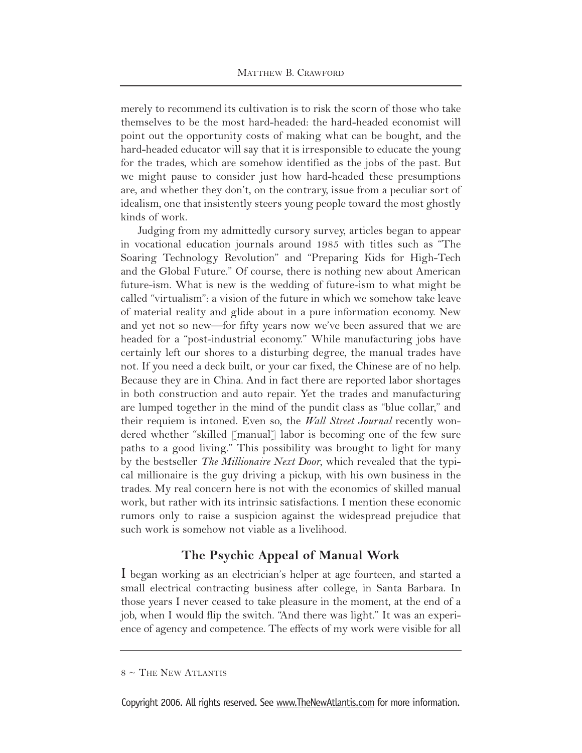merely to recommend its cultivation is to risk the scorn of those who take themselves to be the most hard-headed: the hard-headed economist will point out the opportunity costs of making what can be bought, and the hard-headed educator will say that it is irresponsible to educate the young for the trades, which are somehow identified as the jobs of the past. But we might pause to consider just how hard-headed these presumptions are, and whether they don't, on the contrary, issue from a peculiar sort of idealism, one that insistently steers young people toward the most ghostly kinds of work.

Judging from my admittedly cursory survey, articles began to appear in vocational education journals around 1985 with titles such as "The Soaring Technology Revolution" and "Preparing Kids for High-Tech and the Global Future." Of course, there is nothing new about American future-ism. What is new is the wedding of future-ism to what might be called "virtualism": a vision of the future in which we somehow take leave of material reality and glide about in a pure information economy. New and yet not so new—for fifty years now we've been assured that we are headed for a "post-industrial economy." While manufacturing jobs have certainly left our shores to a disturbing degree, the manual trades have not. If you need a deck built, or your car fixed, the Chinese are of no help. Because they are in China. And in fact there are reported labor shortages in both construction and auto repair. Yet the trades and manufacturing are lumped together in the mind of the pundit class as "blue collar," and their requiem is intoned. Even so, the *Wall Street Journal* recently wondered whether "skilled [manual] labor is becoming one of the few sure paths to a good living." This possibility was brought to light for many by the bestseller *The Millionaire Next Door*, which revealed that the typical millionaire is the guy driving a pickup, with his own business in the trades. My real concern here is not with the economics of skilled manual work, but rather with its intrinsic satisfactions. I mention these economic rumors only to raise a suspicion against the widespread prejudice that such work is somehow not viable as a livelihood.

# **The Psychic Appeal of Manual Work**

I began working as an electrician's helper at age fourteen, and started a small electrical contracting business after college, in Santa Barbara. In those years I never ceased to take pleasure in the moment, at the end of a job, when I would flip the switch. "And there was light." It was an experience of agency and competence. The effects of my work were visible for all

 $8 \sim$  The New Atlantis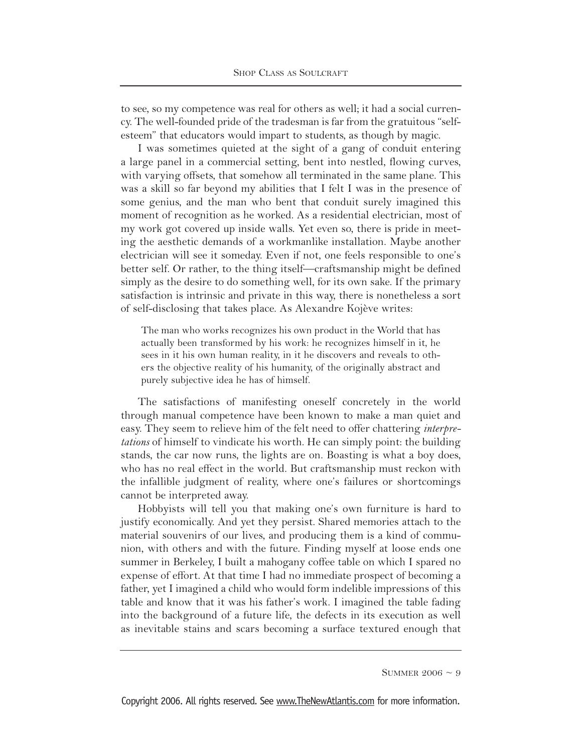to see, so my competence was real for others as well; it had a social currency. The well-founded pride of the tradesman is far from the gratuitous "selfesteem" that educators would impart to students, as though by magic.

I was sometimes quieted at the sight of a gang of conduit entering a large panel in a commercial setting, bent into nestled, flowing curves, with varying offsets, that somehow all terminated in the same plane. This was a skill so far beyond my abilities that I felt I was in the presence of some genius, and the man who bent that conduit surely imagined this moment of recognition as he worked. As a residential electrician, most of my work got covered up inside walls. Yet even so, there is pride in meeting the aesthetic demands of a workmanlike installation. Maybe another electrician will see it someday. Even if not, one feels responsible to one's better self. Or rather, to the thing itself—craftsmanship might be defined simply as the desire to do something well, for its own sake. If the primary satisfaction is intrinsic and private in this way, there is nonetheless a sort of self-disclosing that takes place. As Alexandre Kojève writes:

The man who works recognizes his own product in the World that has actually been transformed by his work: he recognizes himself in it, he sees in it his own human reality, in it he discovers and reveals to others the objective reality of his humanity, of the originally abstract and purely subjective idea he has of himself.

The satisfactions of manifesting oneself concretely in the world through manual competence have been known to make a man quiet and easy. They seem to relieve him of the felt need to offer chattering *interpretations* of himself to vindicate his worth. He can simply point: the building stands, the car now runs, the lights are on. Boasting is what a boy does, who has no real effect in the world. But craftsmanship must reckon with the infallible judgment of reality, where one's failures or shortcomings cannot be interpreted away.

Hobbyists will tell you that making one's own furniture is hard to justify economically. And yet they persist. Shared memories attach to the material souvenirs of our lives, and producing them is a kind of communion, with others and with the future. Finding myself at loose ends one summer in Berkeley, I built a mahogany coffee table on which I spared no expense of effort. At that time I had no immediate prospect of becoming a father, yet I imagined a child who would form indelible impressions of this table and know that it was his father's work. I imagined the table fading into the background of a future life, the defects in its execution as well as inevitable stains and scars becoming a surface textured enough that

SUMMER  $2006 \sim 9$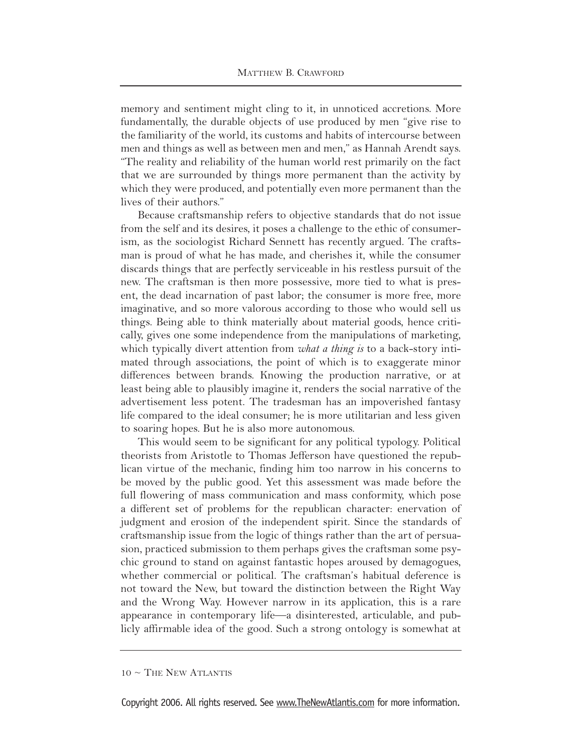memory and sentiment might cling to it, in unnoticed accretions. More fundamentally, the durable objects of use produced by men "give rise to the familiarity of the world, its customs and habits of intercourse between men and things as well as between men and men," as Hannah Arendt says. "The reality and reliability of the human world rest primarily on the fact that we are surrounded by things more permanent than the activity by which they were produced, and potentially even more permanent than the lives of their authors."

Because craftsmanship refers to objective standards that do not issue from the self and its desires, it poses a challenge to the ethic of consumerism, as the sociologist Richard Sennett has recently argued. The craftsman is proud of what he has made, and cherishes it, while the consumer discards things that are perfectly serviceable in his restless pursuit of the new. The craftsman is then more possessive, more tied to what is present, the dead incarnation of past labor; the consumer is more free, more imaginative, and so more valorous according to those who would sell us things. Being able to think materially about material goods, hence critically, gives one some independence from the manipulations of marketing, which typically divert attention from *what a thing is* to a back-story intimated through associations, the point of which is to exaggerate minor differences between brands. Knowing the production narrative, or at least being able to plausibly imagine it, renders the social narrative of the advertisement less potent. The tradesman has an impoverished fantasy life compared to the ideal consumer; he is more utilitarian and less given to soaring hopes. But he is also more autonomous.

This would seem to be significant for any political typology. Political theorists from Aristotle to Thomas Jefferson have questioned the republican virtue of the mechanic, finding him too narrow in his concerns to be moved by the public good. Yet this assessment was made before the full flowering of mass communication and mass conformity, which pose a different set of problems for the republican character: enervation of judgment and erosion of the independent spirit. Since the standards of craftsmanship issue from the logic of things rather than the art of persuasion, practiced submission to them perhaps gives the craftsman some psychic ground to stand on against fantastic hopes aroused by demagogues, whether commercial or political. The craftsman's habitual deference is not toward the New, but toward the distinction between the Right Way and the Wrong Way. However narrow in its application, this is a rare appearance in contemporary life—a disinterested, articulable, and publicly affirmable idea of the good. Such a strong ontology is somewhat at

 $10 \sim$  The New Atlantis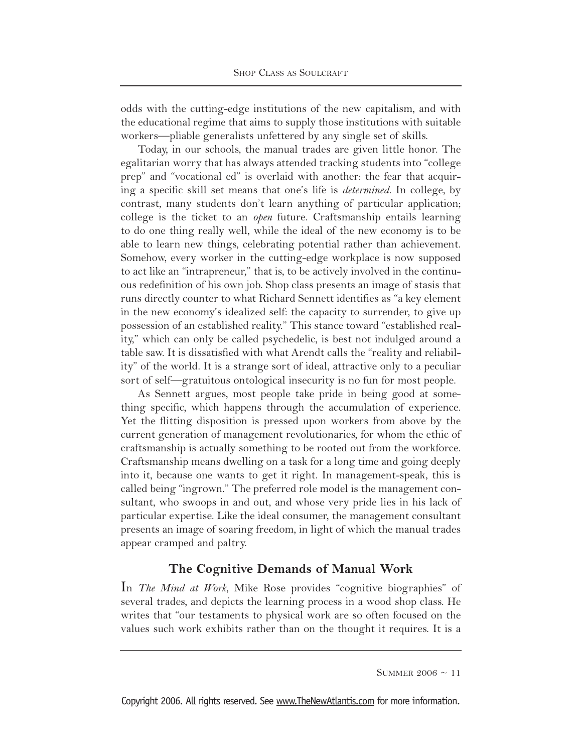odds with the cutting-edge institutions of the new capitalism, and with the educational regime that aims to supply those institutions with suitable workers—pliable generalists unfettered by any single set of skills.

Today, in our schools, the manual trades are given little honor. The egalitarian worry that has always attended tracking students into "college prep" and "vocational ed" is overlaid with another: the fear that acquiring a specific skill set means that one's life is *determined*. In college, by contrast, many students don't learn anything of particular application; college is the ticket to an *open* future. Craftsmanship entails learning to do one thing really well, while the ideal of the new economy is to be able to learn new things, celebrating potential rather than achievement. Somehow, every worker in the cutting-edge workplace is now supposed to act like an "intrapreneur," that is, to be actively involved in the continuous redefinition of his own job. Shop class presents an image of stasis that runs directly counter to what Richard Sennett identifies as "a key element in the new economy's idealized self: the capacity to surrender, to give up possession of an established reality." This stance toward "established reality," which can only be called psychedelic, is best not indulged around a table saw. It is dissatisfied with what Arendt calls the "reality and reliability" of the world. It is a strange sort of ideal, attractive only to a peculiar sort of self—gratuitous ontological insecurity is no fun for most people.

As Sennett argues, most people take pride in being good at something specific, which happens through the accumulation of experience. Yet the flitting disposition is pressed upon workers from above by the current generation of management revolutionaries, for whom the ethic of craftsmanship is actually something to be rooted out from the workforce. Craftsmanship means dwelling on a task for a long time and going deeply into it, because one wants to get it right. In management-speak, this is called being "ingrown." The preferred role model is the management consultant, who swoops in and out, and whose very pride lies in his lack of particular expertise. Like the ideal consumer, the management consultant presents an image of soaring freedom, in light of which the manual trades appear cramped and paltry.

# **The Cognitive Demands of Manual Work**

In *The Mind at Work*, Mike Rose provides "cognitive biographies" of several trades, and depicts the learning process in a wood shop class. He writes that "our testaments to physical work are so often focused on the values such work exhibits rather than on the thought it requires. It is a

SUMMER  $2006 \sim 11$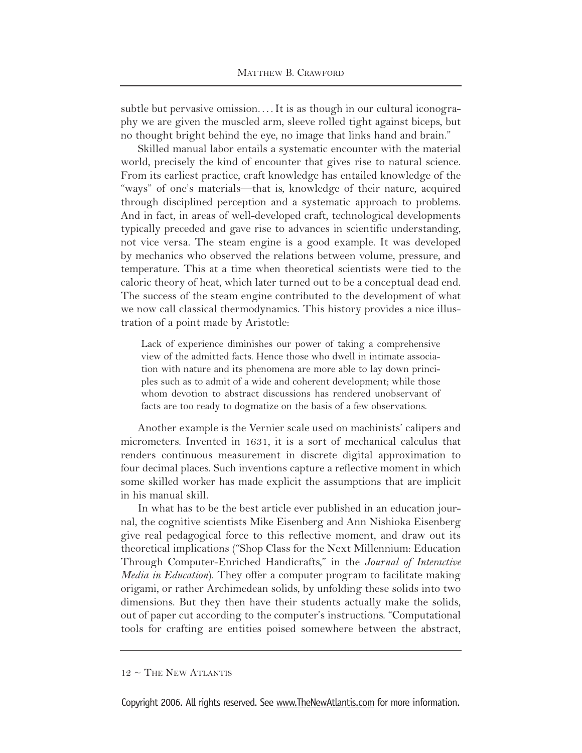subtle but pervasive omission.... It is as though in our cultural iconography we are given the muscled arm, sleeve rolled tight against biceps, but no thought bright behind the eye, no image that links hand and brain."

Skilled manual labor entails a systematic encounter with the material world, precisely the kind of encounter that gives rise to natural science. From its earliest practice, craft knowledge has entailed knowledge of the "ways" of one's materials—that is, knowledge of their nature, acquired through disciplined perception and a systematic approach to problems. And in fact, in areas of well-developed craft, technological developments typically preceded and gave rise to advances in scientific understanding, not vice versa. The steam engine is a good example. It was developed by mechanics who observed the relations between volume, pressure, and temperature. This at a time when theoretical scientists were tied to the caloric theory of heat, which later turned out to be a conceptual dead end. The success of the steam engine contributed to the development of what we now call classical thermodynamics. This history provides a nice illustration of a point made by Aristotle:

Lack of experience diminishes our power of taking a comprehensive view of the admitted facts. Hence those who dwell in intimate association with nature and its phenomena are more able to lay down principles such as to admit of a wide and coherent development; while those whom devotion to abstract discussions has rendered unobservant of facts are too ready to dogmatize on the basis of a few observations.

Another example is the Vernier scale used on machinists' calipers and micrometers. Invented in 1631, it is a sort of mechanical calculus that renders continuous measurement in discrete digital approximation to four decimal places. Such inventions capture a reflective moment in which some skilled worker has made explicit the assumptions that are implicit in his manual skill.

In what has to be the best article ever published in an education journal, the cognitive scientists Mike Eisenberg and Ann Nishioka Eisenberg give real pedagogical force to this reflective moment, and draw out its theoretical implications ("Shop Class for the Next Millennium: Education Through Computer-Enriched Handicrafts," in the *Journal of Interactive Media in Education*). They offer a computer program to facilitate making origami, or rather Archimedean solids, by unfolding these solids into two dimensions. But they then have their students actually make the solids, out of paper cut according to the computer's instructions. "Computational tools for crafting are entities poised somewhere between the abstract,

 $12 \sim$  The New Atlantis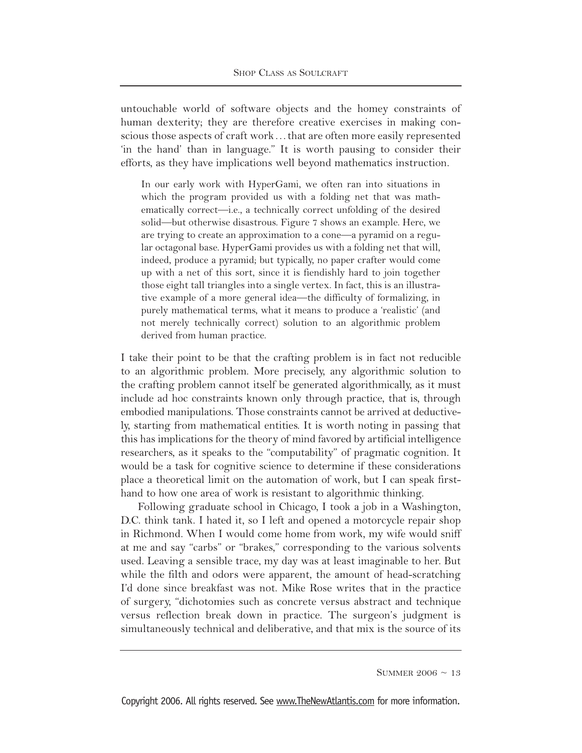untouchable world of software objects and the homey constraints of human dexterity; they are therefore creative exercises in making conscious those aspects of craft work . . . that are often more easily represented 'in the hand' than in language." It is worth pausing to consider their efforts, as they have implications well beyond mathematics instruction.

In our early work with HyperGami, we often ran into situations in which the program provided us with a folding net that was mathematically correct—i.e., a technically correct unfolding of the desired solid—but otherwise disastrous. Figure 7 shows an example. Here, we are trying to create an approximation to a cone—a pyramid on a regular octagonal base. HyperGami provides us with a folding net that will, indeed, produce a pyramid; but typically, no paper crafter would come up with a net of this sort, since it is fiendishly hard to join together those eight tall triangles into a single vertex. In fact, this is an illustrative example of a more general idea—the difficulty of formalizing, in purely mathematical terms, what it means to produce a 'realistic' (and not merely technically correct) solution to an algorithmic problem derived from human practice.

I take their point to be that the crafting problem is in fact not reducible to an algorithmic problem. More precisely, any algorithmic solution to the crafting problem cannot itself be generated algorithmically, as it must include ad hoc constraints known only through practice, that is, through embodied manipulations. Those constraints cannot be arrived at deductively, starting from mathematical entities. It is worth noting in passing that this has implications for the theory of mind favored by artificial intelligence researchers, as it speaks to the "computability" of pragmatic cognition. It would be a task for cognitive science to determine if these considerations place a theoretical limit on the automation of work, but I can speak firsthand to how one area of work is resistant to algorithmic thinking.

Following graduate school in Chicago, I took a job in a Washington, D.C. think tank. I hated it, so I left and opened a motorcycle repair shop in Richmond. When I would come home from work, my wife would sniff at me and say "carbs" or "brakes," corresponding to the various solvents used. Leaving a sensible trace, my day was at least imaginable to her. But while the filth and odors were apparent, the amount of head-scratching I'd done since breakfast was not. Mike Rose writes that in the practice of surgery, "dichotomies such as concrete versus abstract and technique versus reflection break down in practice. The surgeon's judgment is simultaneously technical and deliberative, and that mix is the source of its

SUMMER  $2006 \sim 13$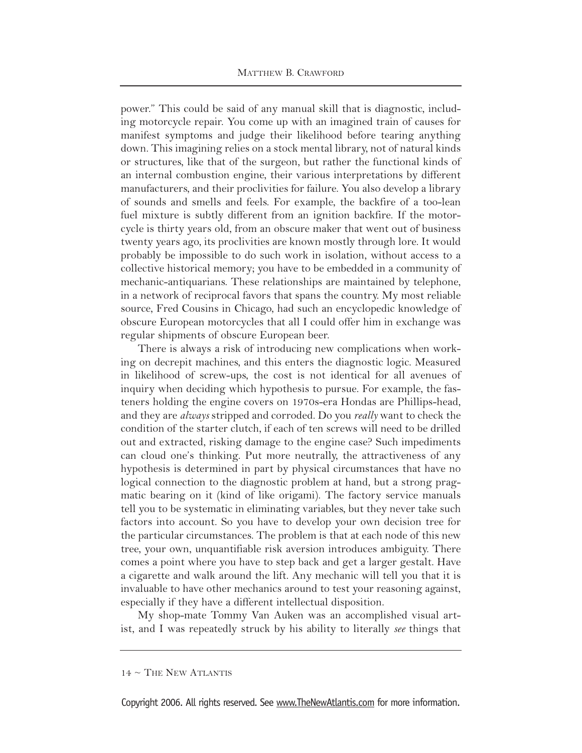power." This could be said of any manual skill that is diagnostic, including motorcycle repair. You come up with an imagined train of causes for manifest symptoms and judge their likelihood before tearing anything down. This imagining relies on a stock mental library, not of natural kinds or structures, like that of the surgeon, but rather the functional kinds of an internal combustion engine, their various interpretations by different manufacturers, and their proclivities for failure. You also develop a library of sounds and smells and feels. For example, the backfire of a too-lean fuel mixture is subtly different from an ignition backfire. If the motorcycle is thirty years old, from an obscure maker that went out of business twenty years ago, its proclivities are known mostly through lore. It would probably be impossible to do such work in isolation, without access to a collective historical memory; you have to be embedded in a community of mechanic-antiquarians. These relationships are maintained by telephone, in a network of reciprocal favors that spans the country. My most reliable source, Fred Cousins in Chicago, had such an encyclopedic knowledge of obscure European motorcycles that all I could offer him in exchange was regular shipments of obscure European beer.

There is always a risk of introducing new complications when working on decrepit machines, and this enters the diagnostic logic. Measured in likelihood of screw-ups, the cost is not identical for all avenues of inquiry when deciding which hypothesis to pursue. For example, the fasteners holding the engine covers on 1970s-era Hondas are Phillips-head, and they are *always* stripped and corroded. Do you *really* want to check the condition of the starter clutch, if each of ten screws will need to be drilled out and extracted, risking damage to the engine case? Such impediments can cloud one's thinking. Put more neutrally, the attractiveness of any hypothesis is determined in part by physical circumstances that have no logical connection to the diagnostic problem at hand, but a strong pragmatic bearing on it (kind of like origami). The factory service manuals tell you to be systematic in eliminating variables, but they never take such factors into account. So you have to develop your own decision tree for the particular circumstances. The problem is that at each node of this new tree, your own, unquantifiable risk aversion introduces ambiguity. There comes a point where you have to step back and get a larger gestalt. Have a cigarette and walk around the lift. Any mechanic will tell you that it is invaluable to have other mechanics around to test your reasoning against, especially if they have a different intellectual disposition.

My shop-mate Tommy Van Auken was an accomplished visual artist, and I was repeatedly struck by his ability to literally *see* things that

 $14 \sim$  The New Atlantis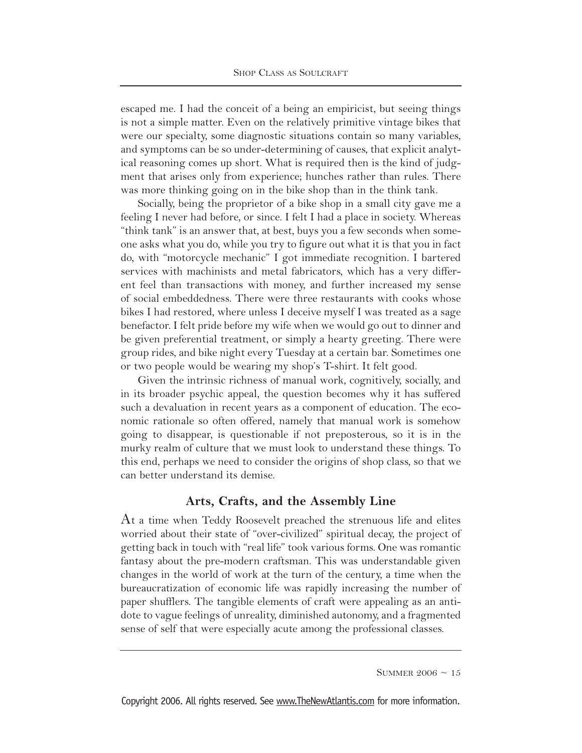escaped me. I had the conceit of a being an empiricist, but seeing things is not a simple matter. Even on the relatively primitive vintage bikes that were our specialty, some diagnostic situations contain so many variables, and symptoms can be so under-determining of causes, that explicit analytical reasoning comes up short. What is required then is the kind of judgment that arises only from experience; hunches rather than rules. There was more thinking going on in the bike shop than in the think tank.

Socially, being the proprietor of a bike shop in a small city gave me a feeling I never had before, or since. I felt I had a place in society. Whereas "think tank" is an answer that, at best, buys you a few seconds when someone asks what you do, while you try to figure out what it is that you in fact do, with "motorcycle mechanic" I got immediate recognition. I bartered services with machinists and metal fabricators, which has a very different feel than transactions with money, and further increased my sense of social embeddedness. There were three restaurants with cooks whose bikes I had restored, where unless I deceive myself I was treated as a sage benefactor. I felt pride before my wife when we would go out to dinner and be given preferential treatment, or simply a hearty greeting. There were group rides, and bike night every Tuesday at a certain bar. Sometimes one or two people would be wearing my shop's T-shirt. It felt good.

Given the intrinsic richness of manual work, cognitively, socially, and in its broader psychic appeal, the question becomes why it has suffered such a devaluation in recent years as a component of education. The economic rationale so often offered, namely that manual work is somehow going to disappear, is questionable if not preposterous, so it is in the murky realm of culture that we must look to understand these things. To this end, perhaps we need to consider the origins of shop class, so that we can better understand its demise.

#### **Arts, Crafts, and the Assembly Line**

At a time when Teddy Roosevelt preached the strenuous life and elites worried about their state of "over-civilized" spiritual decay, the project of getting back in touch with "real life" took various forms. One was romantic fantasy about the pre-modern craftsman. This was understandable given changes in the world of work at the turn of the century, a time when the bureaucratization of economic life was rapidly increasing the number of paper shufflers. The tangible elements of craft were appealing as an antidote to vague feelings of unreality, diminished autonomy, and a fragmented sense of self that were especially acute among the professional classes.

SUMMER  $2006 \sim 15$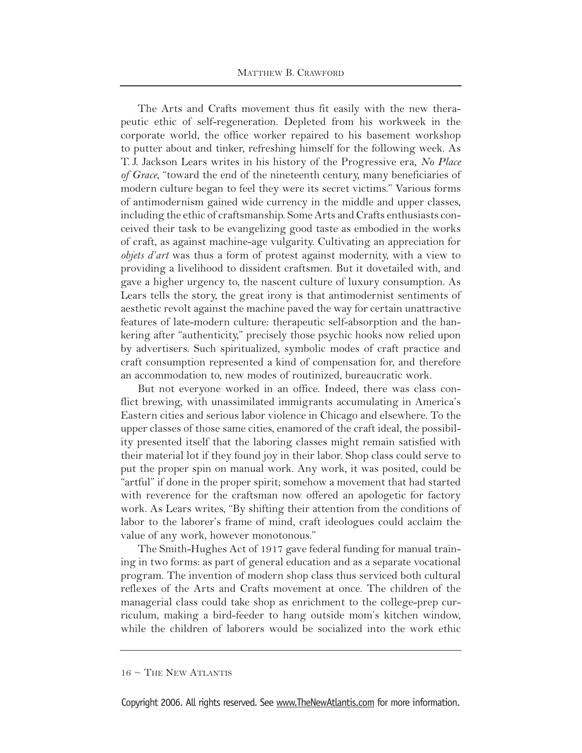The Arts and Crafts movement thus fit easily with the new therapeutic ethic of self-regeneration. Depleted from his workweek in the corporate world, the office worker repaired to his basement workshop to putter about and tinker, refreshing himself for the following week. As T. J. Jackson Lears writes in his history of the Progressive era, *No Place of Grace*, "toward the end of the nineteenth century, many beneficiaries of modern culture began to feel they were its secret victims." Various forms of antimodernism gained wide currency in the middle and upper classes, including the ethic of craftsmanship. Some Arts and Crafts enthusiasts conceived their task to be evangelizing good taste as embodied in the works of craft, as against machine-age vulgarity. Cultivating an appreciation for *objets d'art* was thus a form of protest against modernity, with a view to providing a livelihood to dissident craftsmen. But it dovetailed with, and gave a higher urgency to, the nascent culture of luxury consumption. As Lears tells the story, the great irony is that antimodernist sentiments of aesthetic revolt against the machine paved the way for certain unattractive features of late-modern culture: therapeutic self-absorption and the hankering after "authenticity," precisely those psychic hooks now relied upon by advertisers. Such spiritualized, symbolic modes of craft practice and craft consumption represented a kind of compensation for, and therefore an accommodation to, new modes of routinized, bureaucratic work.

But not everyone worked in an office. Indeed, there was class conflict brewing, with unassimilated immigrants accumulating in America's Eastern cities and serious labor violence in Chicago and elsewhere. To the upper classes of those same cities, enamored of the craft ideal, the possibility presented itself that the laboring classes might remain satisfied with their material lot if they found joy in their labor. Shop class could serve to put the proper spin on manual work. Any work, it was posited, could be "artful" if done in the proper spirit; somehow a movement that had started with reverence for the craftsman now offered an apologetic for factory work. As Lears writes, "By shifting their attention from the conditions of labor to the laborer's frame of mind, craft ideologues could acclaim the value of any work, however monotonous."

The Smith-Hughes Act of 1917 gave federal funding for manual training in two forms: as part of general education and as a separate vocational program. The invention of modern shop class thus serviced both cultural reflexes of the Arts and Crafts movement at once. The children of the managerial class could take shop as enrichment to the college-prep curriculum, making a bird-feeder to hang outside mom's kitchen window, while the children of laborers would be socialized into the work ethic

 $16 \sim$  The New Atlantis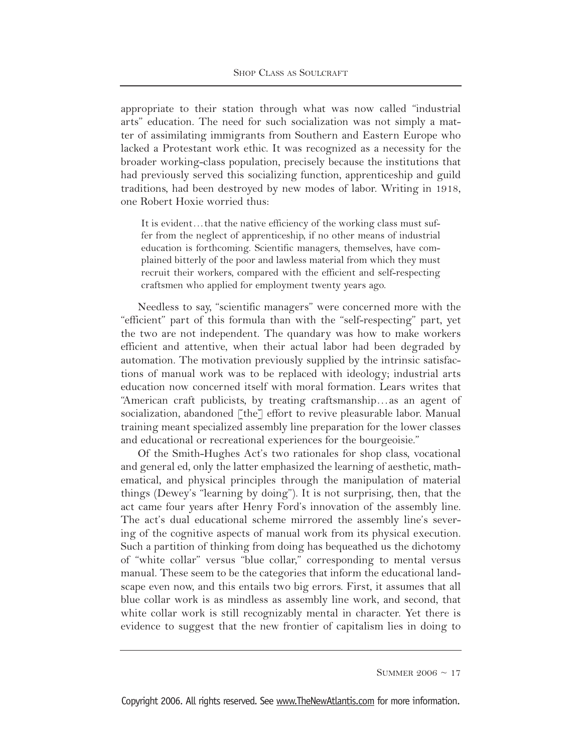appropriate to their station through what was now called "industrial arts" education. The need for such socialization was not simply a matter of assimilating immigrants from Southern and Eastern Europe who lacked a Protestant work ethic. It was recognized as a necessity for the broader working-class population, precisely because the institutions that had previously served this socializing function, apprenticeship and guild traditions, had been destroyed by new modes of labor. Writing in 1918, one Robert Hoxie worried thus:

It is evident...that the native efficiency of the working class must suffer from the neglect of apprenticeship, if no other means of industrial education is forthcoming. Scientific managers, themselves, have complained bitterly of the poor and lawless material from which they must recruit their workers, compared with the efficient and self-respecting craftsmen who applied for employment twenty years ago.

Needless to say, "scientific managers" were concerned more with the "efficient" part of this formula than with the "self-respecting" part, yet the two are not independent. The quandary was how to make workers efficient and attentive, when their actual labor had been degraded by automation. The motivation previously supplied by the intrinsic satisfactions of manual work was to be replaced with ideology; industrial arts education now concerned itself with moral formation. Lears writes that "American craft publicists, by treating craftsmanship...as an agent of socialization, abandoned [the] effort to revive pleasurable labor. Manual training meant specialized assembly line preparation for the lower classes and educational or recreational experiences for the bourgeoisie."

Of the Smith-Hughes Act's two rationales for shop class, vocational and general ed, only the latter emphasized the learning of aesthetic, mathematical, and physical principles through the manipulation of material things (Dewey's "learning by doing"). It is not surprising, then, that the act came four years after Henry Ford's innovation of the assembly line. The act's dual educational scheme mirrored the assembly line's severing of the cognitive aspects of manual work from its physical execution. Such a partition of thinking from doing has bequeathed us the dichotomy of "white collar" versus "blue collar," corresponding to mental versus manual. These seem to be the categories that inform the educational landscape even now, and this entails two big errors. First, it assumes that all blue collar work is as mindless as assembly line work, and second, that white collar work is still recognizably mental in character. Yet there is evidence to suggest that the new frontier of capitalism lies in doing to

SUMMER  $2006 \sim 17$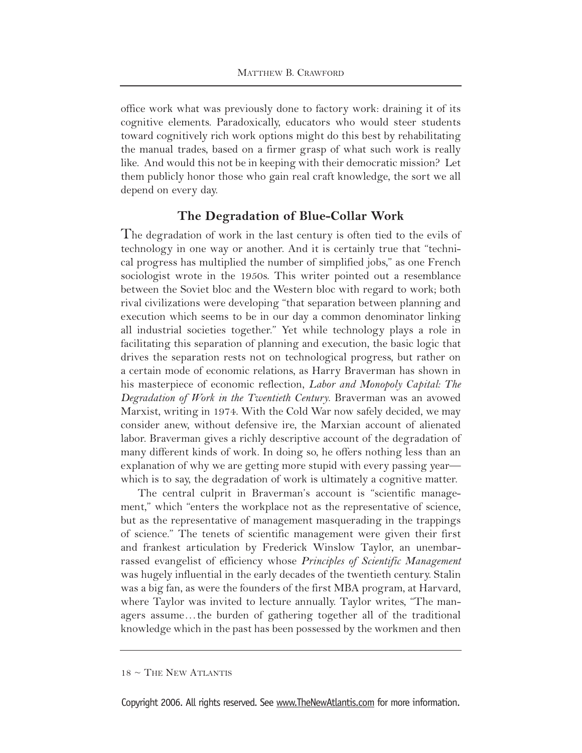office work what was previously done to factory work: draining it of its cognitive elements. Paradoxically, educators who would steer students toward cognitively rich work options might do this best by rehabilitating the manual trades, based on a firmer grasp of what such work is really like. And would this not be in keeping with their democratic mission? Let them publicly honor those who gain real craft knowledge, the sort we all depend on every day.

## **The Degradation of Blue-Collar Work**

The degradation of work in the last century is often tied to the evils of technology in one way or another. And it is certainly true that "technical progress has multiplied the number of simplified jobs," as one French sociologist wrote in the 1950s. This writer pointed out a resemblance between the Soviet bloc and the Western bloc with regard to work; both rival civilizations were developing "that separation between planning and execution which seems to be in our day a common denominator linking all industrial societies together." Yet while technology plays a role in facilitating this separation of planning and execution, the basic logic that drives the separation rests not on technological progress, but rather on a certain mode of economic relations, as Harry Braverman has shown in his masterpiece of economic reflection, *Labor and Monopoly Capital: The Degradation of Work in the Twentieth Century*. Braverman was an avowed Marxist, writing in 1974. With the Cold War now safely decided, we may consider anew, without defensive ire, the Marxian account of alienated labor. Braverman gives a richly descriptive account of the degradation of many different kinds of work. In doing so, he offers nothing less than an explanation of why we are getting more stupid with every passing year which is to say, the degradation of work is ultimately a cognitive matter.

The central culprit in Braverman's account is "scientific management," which "enters the workplace not as the representative of science, but as the representative of management masquerading in the trappings of science." The tenets of scientific management were given their first and frankest articulation by Frederick Winslow Taylor, an unembarrassed evangelist of efficiency whose *Principles of Scientific Management* was hugely influential in the early decades of the twentieth century. Stalin was a big fan, as were the founders of the first MBA program, at Harvard, where Taylor was invited to lecture annually. Taylor writes, "The managers assume ...the burden of gathering together all of the traditional knowledge which in the past has been possessed by the workmen and then

 $18 \sim$  The New Atlantis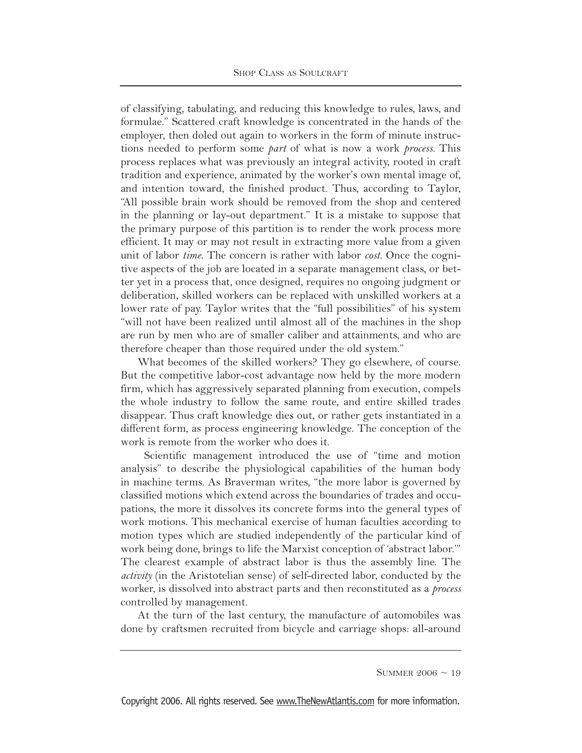of classifying, tabulating, and reducing this knowledge to rules, laws, and formulae." Scattered craft knowledge is concentrated in the hands of the employer, then doled out again to workers in the form of minute instructions needed to perform some *part* of what is now a work *process.* This process replaces what was previously an integral activity, rooted in craft tradition and experience, animated by the worker's own mental image of, and intention toward, the finished product. Thus, according to Taylor, "All possible brain work should be removed from the shop and centered in the planning or lay-out department." It is a mistake to suppose that the primary purpose of this partition is to render the work process more efficient. It may or may not result in extracting more value from a given unit of labor *time*. The concern is rather with labor *cost*. Once the cognitive aspects of the job are located in a separate management class, or better yet in a process that, once designed, requires no ongoing judgment or deliberation, skilled workers can be replaced with unskilled workers at a lower rate of pay. Taylor writes that the "full possibilities" of his system "will not have been realized until almost all of the machines in the shop are run by men who are of smaller caliber and attainments, and who are therefore cheaper than those required under the old system."

What becomes of the skilled workers? They go elsewhere, of course. But the competitive labor-cost advantage now held by the more modern firm, which has aggressively separated planning from execution, compels the whole industry to follow the same route, and entire skilled trades disappear. Thus craft knowledge dies out, or rather gets instantiated in a different form, as process engineering knowledge. The conception of the work is remote from the worker who does it.

 Scientific management introduced the use of "time and motion analysis" to describe the physiological capabilities of the human body in machine terms. As Braverman writes, "the more labor is governed by classified motions which extend across the boundaries of trades and occupations, the more it dissolves its concrete forms into the general types of work motions. This mechanical exercise of human faculties according to motion types which are studied independently of the particular kind of work being done, brings to life the Marxist conception of 'abstract labor.'" The clearest example of abstract labor is thus the assembly line. The *activity* (in the Aristotelian sense) of self-directed labor, conducted by the worker, is dissolved into abstract parts and then reconstituted as a *process* controlled by management.

At the turn of the last century, the manufacture of automobiles was done by craftsmen recruited from bicycle and carriage shops: all-around

SUMMER  $2006 \sim 19$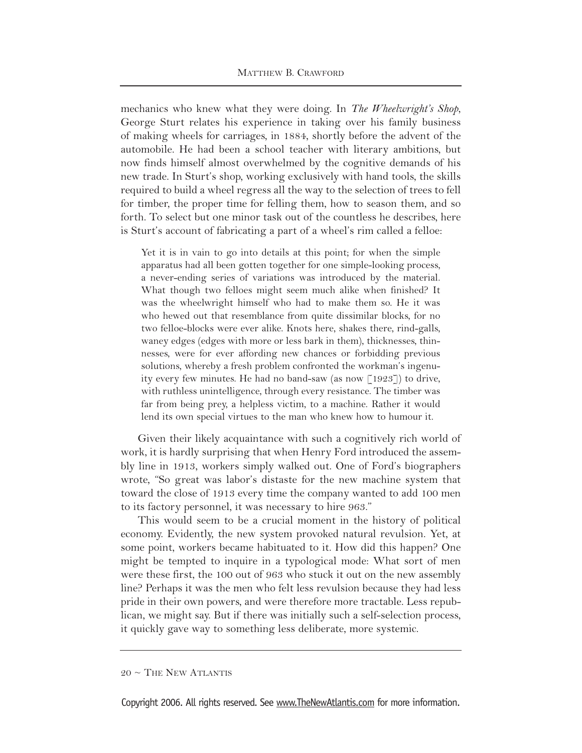mechanics who knew what they were doing. In *The Wheelwright's Shop*, George Sturt relates his experience in taking over his family business of making wheels for carriages, in 1884, shortly before the advent of the automobile. He had been a school teacher with literary ambitions, but now finds himself almost overwhelmed by the cognitive demands of his new trade. In Sturt's shop, working exclusively with hand tools, the skills required to build a wheel regress all the way to the selection of trees to fell for timber, the proper time for felling them, how to season them, and so forth. To select but one minor task out of the countless he describes, here is Sturt's account of fabricating a part of a wheel's rim called a felloe:

Yet it is in vain to go into details at this point; for when the simple apparatus had all been gotten together for one simple-looking process, a never-ending series of variations was introduced by the material. What though two felloes might seem much alike when finished? It was the wheelwright himself who had to make them so. He it was who hewed out that resemblance from quite dissimilar blocks, for no two felloe-blocks were ever alike. Knots here, shakes there, rind-galls, waney edges (edges with more or less bark in them), thicknesses, thinnesses, were for ever affording new chances or forbidding previous solutions, whereby a fresh problem confronted the workman's ingenuity every few minutes. He had no band-saw (as now [1923]) to drive, with ruthless unintelligence, through every resistance. The timber was far from being prey, a helpless victim, to a machine. Rather it would lend its own special virtues to the man who knew how to humour it.

Given their likely acquaintance with such a cognitively rich world of work, it is hardly surprising that when Henry Ford introduced the assembly line in 1913, workers simply walked out. One of Ford's biographers wrote, "So great was labor's distaste for the new machine system that toward the close of 1913 every time the company wanted to add 100 men to its factory personnel, it was necessary to hire 963."

This would seem to be a crucial moment in the history of political economy. Evidently, the new system provoked natural revulsion. Yet, at some point, workers became habituated to it. How did this happen? One might be tempted to inquire in a typological mode: What sort of men were these first, the 100 out of 963 who stuck it out on the new assembly line? Perhaps it was the men who felt less revulsion because they had less pride in their own powers, and were therefore more tractable. Less republican, we might say. But if there was initially such a self-selection process, it quickly gave way to something less deliberate, more systemic.

 $20 \sim$  The New Atlantis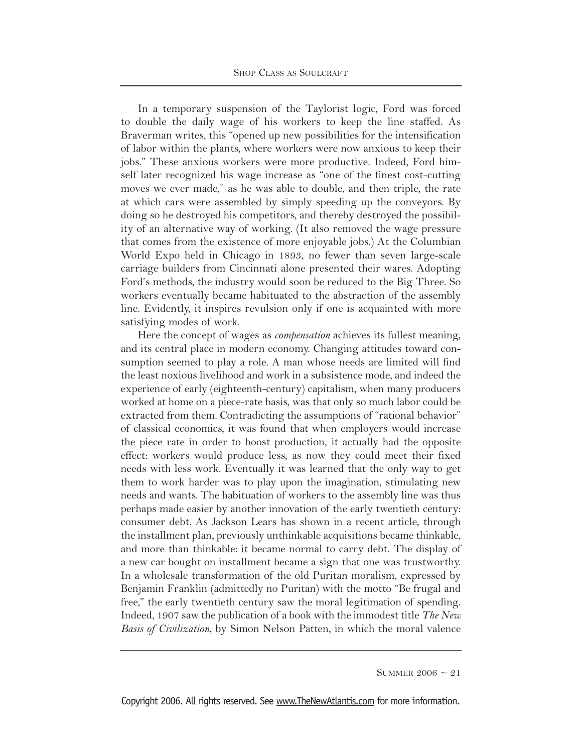In a temporary suspension of the Taylorist logic, Ford was forced to double the daily wage of his workers to keep the line staffed. As Braverman writes, this "opened up new possibilities for the intensification of labor within the plants, where workers were now anxious to keep their jobs." These anxious workers were more productive. Indeed, Ford himself later recognized his wage increase as "one of the finest cost-cutting moves we ever made," as he was able to double, and then triple, the rate at which cars were assembled by simply speeding up the conveyors. By doing so he destroyed his competitors, and thereby destroyed the possibility of an alternative way of working. (It also removed the wage pressure that comes from the existence of more enjoyable jobs.) At the Columbian World Expo held in Chicago in 1893, no fewer than seven large-scale carriage builders from Cincinnati alone presented their wares. Adopting Ford's methods, the industry would soon be reduced to the Big Three. So workers eventually became habituated to the abstraction of the assembly line. Evidently, it inspires revulsion only if one is acquainted with more satisfying modes of work.

Here the concept of wages as *compensation* achieves its fullest meaning, and its central place in modern economy. Changing attitudes toward consumption seemed to play a role. A man whose needs are limited will find the least noxious livelihood and work in a subsistence mode, and indeed the experience of early (eighteenth-century) capitalism, when many producers worked at home on a piece-rate basis, was that only so much labor could be extracted from them. Contradicting the assumptions of "rational behavior" of classical economics, it was found that when employers would increase the piece rate in order to boost production, it actually had the opposite effect: workers would produce less, as now they could meet their fixed needs with less work. Eventually it was learned that the only way to get them to work harder was to play upon the imagination, stimulating new needs and wants. The habituation of workers to the assembly line was thus perhaps made easier by another innovation of the early twentieth century: consumer debt. As Jackson Lears has shown in a recent article, through the installment plan, previously unthinkable acquisitions became thinkable, and more than thinkable: it became normal to carry debt. The display of a new car bought on installment became a sign that one was trustworthy. In a wholesale transformation of the old Puritan moralism, expressed by Benjamin Franklin (admittedly no Puritan) with the motto "Be frugal and free," the early twentieth century saw the moral legitimation of spending. Indeed, 1907 saw the publication of a book with the immodest title *The New Basis of Civilization*, by Simon Nelson Patten, in which the moral valence

SUMMER  $2006 \sim 21$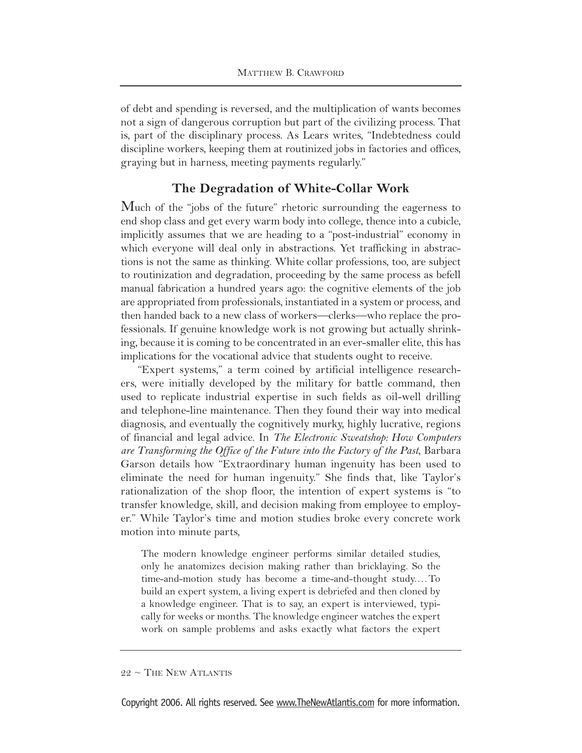of debt and spending is reversed, and the multiplication of wants becomes not a sign of dangerous corruption but part of the civilizing process. That is, part of the disciplinary process. As Lears writes, "Indebtedness could discipline workers, keeping them at routinized jobs in factories and offices, graying but in harness, meeting payments regularly."

## **The Degradation of White-Collar Work**

Much of the "jobs of the future" rhetoric surrounding the eagerness to end shop class and get every warm body into college, thence into a cubicle, implicitly assumes that we are heading to a "post-industrial" economy in which everyone will deal only in abstractions. Yet trafficking in abstractions is not the same as thinking. White collar professions, too, are subject to routinization and degradation, proceeding by the same process as befell manual fabrication a hundred years ago: the cognitive elements of the job are appropriated from professionals, instantiated in a system or process, and then handed back to a new class of workers—clerks—who replace the professionals. If genuine knowledge work is not growing but actually shrinking, because it is coming to be concentrated in an ever-smaller elite, this has implications for the vocational advice that students ought to receive.

"Expert systems," a term coined by artificial intelligence researchers, were initially developed by the military for battle command, then used to replicate industrial expertise in such fields as oil-well drilling and telephone-line maintenance. Then they found their way into medical diagnosis, and eventually the cognitively murky, highly lucrative, regions of financial and legal advice. In *The Electronic Sweatshop: How Computers are Transforming the Office of the Future into the Factory of the Past*, Barbara Garson details how "Extraordinary human ingenuity has been used to eliminate the need for human ingenuity." She finds that, like Taylor's rationalization of the shop floor, the intention of expert systems is "to transfer knowledge, skill, and decision making from employee to employer." While Taylor's time and motion studies broke every concrete work motion into minute parts,

The modern knowledge engineer performs similar detailed studies, only he anatomizes decision making rather than bricklaying. So the time-and-motion study has become a time-and-thought study....To build an expert system, a living expert is debriefed and then cloned by a knowledge engineer. That is to say, an expert is interviewed, typically for weeks or months. The knowledge engineer watches the expert work on sample problems and asks exactly what factors the expert

 $22 \sim$  The New Atlantis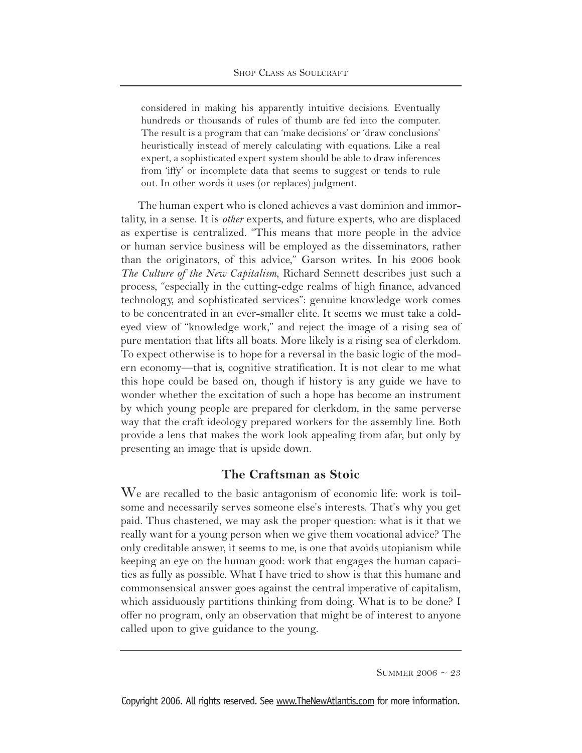considered in making his apparently intuitive decisions. Eventually hundreds or thousands of rules of thumb are fed into the computer. The result is a program that can 'make decisions' or 'draw conclusions' heuristically instead of merely calculating with equations. Like a real expert, a sophisticated expert system should be able to draw inferences from 'iffy' or incomplete data that seems to suggest or tends to rule out. In other words it uses (or replaces) judgment.

The human expert who is cloned achieves a vast dominion and immortality, in a sense. It is *other* experts, and future experts, who are displaced as expertise is centralized. "This means that more people in the advice or human service business will be employed as the disseminators, rather than the originators, of this advice," Garson writes. In his 2006 book *The Culture of the New Capitalism*, Richard Sennett describes just such a process, "especially in the cutting-edge realms of high finance, advanced technology, and sophisticated services": genuine knowledge work comes to be concentrated in an ever-smaller elite. It seems we must take a coldeyed view of "knowledge work," and reject the image of a rising sea of pure mentation that lifts all boats. More likely is a rising sea of clerkdom. To expect otherwise is to hope for a reversal in the basic logic of the modern economy—that is, cognitive stratification. It is not clear to me what this hope could be based on, though if history is any guide we have to wonder whether the excitation of such a hope has become an instrument by which young people are prepared for clerkdom, in the same perverse way that the craft ideology prepared workers for the assembly line. Both provide a lens that makes the work look appealing from afar, but only by presenting an image that is upside down.

#### **The Craftsman as Stoic**

We are recalled to the basic antagonism of economic life: work is toilsome and necessarily serves someone else's interests. That's why you get paid. Thus chastened, we may ask the proper question: what is it that we really want for a young person when we give them vocational advice? The only creditable answer, it seems to me, is one that avoids utopianism while keeping an eye on the human good: work that engages the human capacities as fully as possible. What I have tried to show is that this humane and commonsensical answer goes against the central imperative of capitalism, which assiduously partitions thinking from doing. What is to be done? I offer no program, only an observation that might be of interest to anyone called upon to give guidance to the young.

SUMMER  $2006 \sim 23$